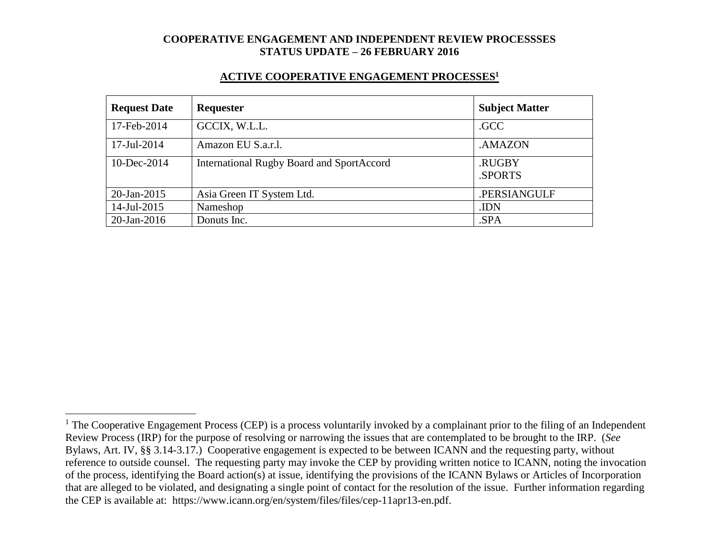#### **ACTIVE COOPERATIVE ENGAGEMENT PROCESSES<sup>1</sup>**

| <b>Request Date</b> | <b>Requester</b>                                 | <b>Subject Matter</b> |
|---------------------|--------------------------------------------------|-----------------------|
| 17-Feb-2014         | GCCIX, W.L.L.                                    | .GCC                  |
| 17-Jul-2014         | Amazon EU S.a.r.l.                               | .AMAZON               |
| $10$ -Dec-2014      | <b>International Rugby Board and SportAccord</b> | .RUGBY<br>.SPORTS     |
| $20$ -Jan-2015      | Asia Green IT System Ltd.                        | .PERSIANGULF          |
| 14-Jul-2015         | Nameshop                                         | .IDN                  |
| $20$ -Jan-2016      | Donuts Inc.                                      | .SPA                  |

 $1$  The Cooperative Engagement Process (CEP) is a process voluntarily invoked by a complainant prior to the filing of an Independent Review Process (IRP) for the purpose of resolving or narrowing the issues that are contemplated to be brought to the IRP. (*See* Bylaws, Art. IV, §§ 3.14-3.17.) Cooperative engagement is expected to be between ICANN and the requesting party, without reference to outside counsel. The requesting party may invoke the CEP by providing written notice to ICANN, noting the invocation of the process, identifying the Board action(s) at issue, identifying the provisions of the ICANN Bylaws or Articles of Incorporation that are alleged to be violated, and designating a single point of contact for the resolution of the issue. Further information regarding the CEP is available at: https://www.icann.org/en/system/files/files/cep-11apr13-en.pdf.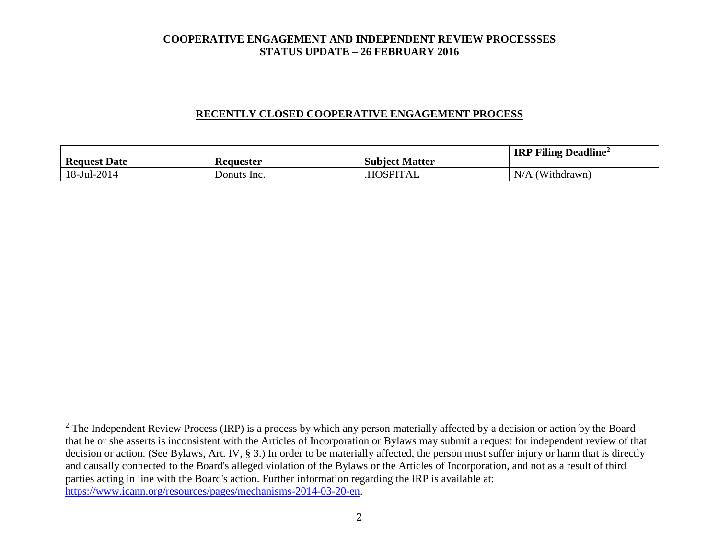### **RECENTLY CLOSED COOPERATIVE ENGAGEMENT PROCESS**

| <b>Request Date</b> | Keauester   | <b>Subject Matter</b> | <b>IRP Filing Deadline</b> <sup>2</sup> |
|---------------------|-------------|-----------------------|-----------------------------------------|
| 18-Jul-2014         | Donuts Inc. | <b>HOSPITAL</b>       | N/A<br>(Withdrawn)                      |

 $2$  The Independent Review Process (IRP) is a process by which any person materially affected by a decision or action by the Board that he or she asserts is inconsistent with the Articles of Incorporation or Bylaws may submit a request for independent review of that decision or action. (See Bylaws, Art. IV, § 3.) In order to be materially affected, the person must suffer injury or harm that is directly and causally connected to the Board's alleged violation of the Bylaws or the Articles of Incorporation, and not as a result of third parties acting in line with the Board's action. Further information regarding the IRP is available at: [https://www.icann.org/resources/pages/mechanisms-2014-03-20-en.](https://www.icann.org/resources/pages/mechanisms-2014-03-20-en)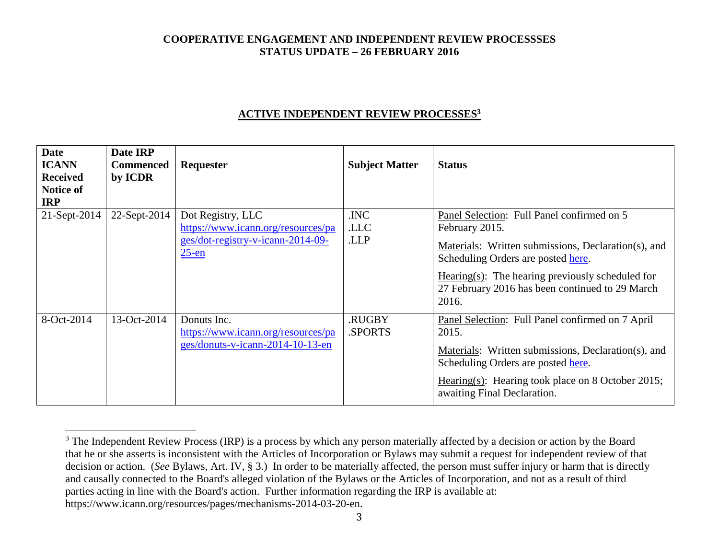## **ACTIVE INDEPENDENT REVIEW PROCESSES<sup>3</sup>**

| <b>Date</b><br><b>ICANN</b><br><b>Received</b><br>Notice of<br><b>IRP</b> | Date IRP<br><b>Commenced</b><br>by ICDR | Requester                                                                                                | <b>Subject Matter</b> | <b>Status</b>                                                                                                                                                                                                                                                                |
|---------------------------------------------------------------------------|-----------------------------------------|----------------------------------------------------------------------------------------------------------|-----------------------|------------------------------------------------------------------------------------------------------------------------------------------------------------------------------------------------------------------------------------------------------------------------------|
| 21-Sept-2014                                                              | 22-Sept-2014                            | Dot Registry, LLC<br>https://www.icann.org/resources/pa<br>ges/dot-registry-v-icann-2014-09-<br>$25$ -en | .INC<br>.LLC<br>.LLP  | Panel Selection: Full Panel confirmed on 5<br>February 2015.<br>Materials: Written submissions, Declaration(s), and<br>Scheduling Orders are posted here.<br>$Hearing(s)$ : The hearing previously scheduled for<br>27 February 2016 has been continued to 29 March<br>2016. |
| 8-Oct-2014                                                                | 13-Oct-2014                             | Donuts Inc.<br>https://www.icann.org/resources/pa<br>ges/donuts-v-icann-2014-10-13-en                    | .RUGBY<br>SPORTS.     | Panel Selection: Full Panel confirmed on 7 April<br>2015.<br>Materials: Written submissions, Declaration(s), and<br>Scheduling Orders are posted here.<br>Hearing(s): Hearing took place on 8 October 2015;<br>awaiting Final Declaration.                                   |

 $3$  The Independent Review Process (IRP) is a process by which any person materially affected by a decision or action by the Board that he or she asserts is inconsistent with the Articles of Incorporation or Bylaws may submit a request for independent review of that decision or action. (*See* Bylaws, Art. IV, § 3.) In order to be materially affected, the person must suffer injury or harm that is directly and causally connected to the Board's alleged violation of the Bylaws or the Articles of Incorporation, and not as a result of third parties acting in line with the Board's action. Further information regarding the IRP is available at: https://www.icann.org/resources/pages/mechanisms-2014-03-20-en.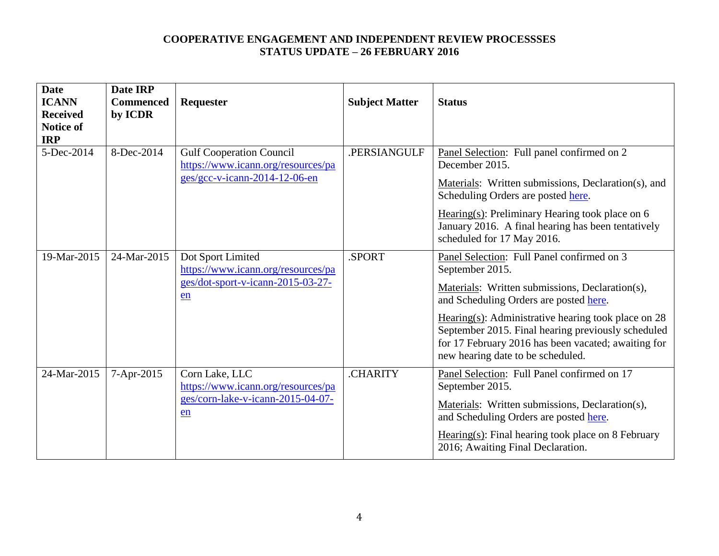| <b>Date</b><br><b>ICANN</b><br><b>Received</b><br><b>Notice of</b><br><b>IRP</b> | Date IRP<br><b>Commenced</b><br>by ICDR | Requester                                                                                                | <b>Subject Matter</b> | <b>Status</b>                                                                                                                                                                                                                                                                                                                                                         |
|----------------------------------------------------------------------------------|-----------------------------------------|----------------------------------------------------------------------------------------------------------|-----------------------|-----------------------------------------------------------------------------------------------------------------------------------------------------------------------------------------------------------------------------------------------------------------------------------------------------------------------------------------------------------------------|
| 5-Dec-2014                                                                       | 8-Dec-2014                              | <b>Gulf Cooperation Council</b><br>https://www.icann.org/resources/pa<br>$ges/gcc-v-icann-2014-12-06-en$ | .PERSIANGULF          | Panel Selection: Full panel confirmed on 2<br>December 2015.<br>Materials: Written submissions, Declaration(s), and<br>Scheduling Orders are posted here.<br>Hearing $(s)$ : Preliminary Hearing took place on 6<br>January 2016. A final hearing has been tentatively<br>scheduled for 17 May 2016.                                                                  |
| 19-Mar-2015                                                                      | 24-Mar-2015                             | Dot Sport Limited<br>https://www.icann.org/resources/pa<br>ges/dot-sport-v-icann-2015-03-27-<br>en       | .SPORT                | Panel Selection: Full Panel confirmed on 3<br>September 2015.<br>Materials: Written submissions, Declaration(s),<br>and Scheduling Orders are posted here.<br>Hearing(s): Administrative hearing took place on $28$<br>September 2015. Final hearing previously scheduled<br>for 17 February 2016 has been vacated; awaiting for<br>new hearing date to be scheduled. |
| 24-Mar-2015                                                                      | 7-Apr-2015                              | Corn Lake, LLC<br>https://www.icann.org/resources/pa<br>ges/corn-lake-v-icann-2015-04-07-<br>en          | .CHARITY              | Panel Selection: Full Panel confirmed on 17<br>September 2015.<br>Materials: Written submissions, Declaration(s),<br>and Scheduling Orders are posted here.<br>$Hearing(s): Final hearing took place on 8 February$<br>2016; Awaiting Final Declaration.                                                                                                              |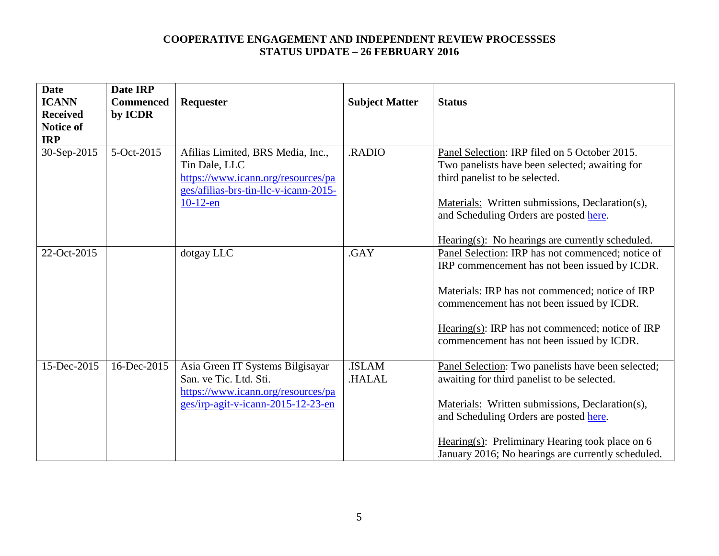| <b>Date</b><br><b>ICANN</b><br><b>Received</b><br><b>Notice of</b> | Date IRP<br><b>Commenced</b><br>by ICDR | Requester                                                                                                                                        | <b>Subject Matter</b> | <b>Status</b>                                                                                                                                                                                                                                                                                             |
|--------------------------------------------------------------------|-----------------------------------------|--------------------------------------------------------------------------------------------------------------------------------------------------|-----------------------|-----------------------------------------------------------------------------------------------------------------------------------------------------------------------------------------------------------------------------------------------------------------------------------------------------------|
| <b>IRP</b><br>30-Sep-2015                                          | 5-Oct-2015                              | Afilias Limited, BRS Media, Inc.,<br>Tin Dale, LLC<br>https://www.icann.org/resources/pa<br>ges/afilias-brs-tin-llc-v-icann-2015-<br>$10-12$ -en | .RADIO                | Panel Selection: IRP filed on 5 October 2015.<br>Two panelists have been selected; awaiting for<br>third panelist to be selected.<br>Materials: Written submissions, Declaration(s),<br>and Scheduling Orders are posted here.<br>$Hearing(s)$ : No hearings are currently scheduled.                     |
| 22-Oct-2015                                                        |                                         | dotgay LLC                                                                                                                                       | .GAY                  | Panel Selection: IRP has not commenced; notice of<br>IRP commencement has not been issued by ICDR.<br>Materials: IRP has not commenced; notice of IRP<br>commencement has not been issued by ICDR.<br>Hearing(s): IRP has not commenced; notice of IRP<br>commencement has not been issued by ICDR.       |
| 15-Dec-2015                                                        | 16-Dec-2015                             | Asia Green IT Systems Bilgisayar<br>San. ve Tic. Ltd. Sti.<br>https://www.icann.org/resources/pa<br>ges/irp-agit-v-icann-2015-12-23-en           | .ISLAM<br>.HALAL      | Panel Selection: Two panelists have been selected;<br>awaiting for third panelist to be selected.<br>Materials: Written submissions, Declaration(s),<br>and Scheduling Orders are posted here.<br>Hearing(s): Preliminary Hearing took place on $6$<br>January 2016; No hearings are currently scheduled. |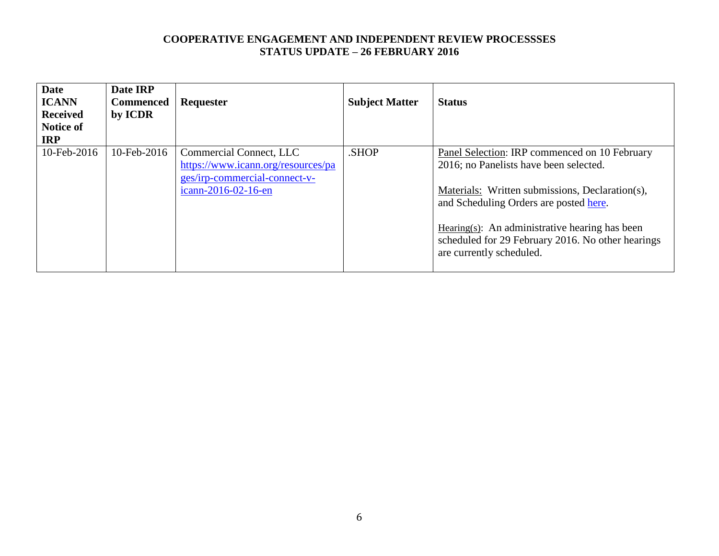| <b>Date</b><br><b>ICANN</b><br><b>Received</b><br><b>Notice of</b><br><b>IRP</b> | Date IRP<br><b>Commenced</b><br>by ICDR | <b>Requester</b>                                                                                                      | <b>Subject Matter</b> | <b>Status</b>                                                                                                                                                                                                                                                                                                               |
|----------------------------------------------------------------------------------|-----------------------------------------|-----------------------------------------------------------------------------------------------------------------------|-----------------------|-----------------------------------------------------------------------------------------------------------------------------------------------------------------------------------------------------------------------------------------------------------------------------------------------------------------------------|
| 10-Feb-2016                                                                      | 10-Feb-2016                             | Commercial Connect, LLC<br>https://www.icann.org/resources/pa<br>ges/irp-commercial-connect-v-<br>icann-2016-02-16-en | .SHOP                 | Panel Selection: IRP commenced on 10 February<br>2016; no Panelists have been selected.<br>Materials: Written submissions, Declaration(s),<br>and Scheduling Orders are posted here.<br>Hearing $(s)$ : An administrative hearing has been<br>scheduled for 29 February 2016. No other hearings<br>are currently scheduled. |